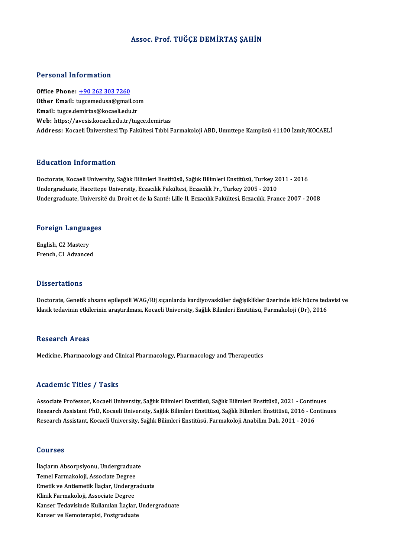### Assoc. Prof. TUĞÇE DEMİRTAŞ ŞAHİN

#### Personal Information

Office Phone: +90 262 303 7260 Tereorial Information<br>Office Phone: <u>+90 262 303 7260</u><br>Other Email: t[ugcemedusa@gmail](tel:+90 262 303 7260).com Office Phone: <u>+90 262 303 7260</u><br>Other Email: tugcemedusa@gmail.co<br>Email: tugce.demirtas@kocaeli.edu.tr Email: tugce.demirtas@kocaeli.edu.tr<br>Web: https://avesis.kocaeli.edu.tr/tugce.demirtas Address: Kocaeli Üniversitesi Tıp Fakültesi Tıbbi Farmakoloji ABD, Umuttepe Kampüsü 41100 İzmit/KOCAELİ

### Education Information

Doctorate, Kocaeli University, Sağlık Bilimleri Enstitüsü, Sağlık Bilimleri Enstitüsü, Turkey 2011 - 2016 Undergraduate, Hacettepe University, Eczacılık Fakültesi, Eczacılık Pr., Turkey 2005 - 2010 Undergraduate, Université du Droit et de la Santé: Lille II, Eczacılık Fakültesi, Eczacılık, France 2007 - 2008

# <sub>ondergraduate, oniversit<br>Foreign Languages</sub>

Foreign Langua<br>English, C2 Mastery<br>Enangh C1 Advances English, C2 Mastery<br>French, C1 Advanced

#### **Dissertations**

Dissertations<br>Doctorate, Genetik absans epilepsili WAG/Rij sıçanlarda kardiyovasküler değişiklikler üzerinde kök hücre tedavisi ve<br>klasik tedavinin etkilerinin arastırılması. Kesseli University, Sağlık Bilimleri Enstitüsü, k 1888't tatrono<br>Doctorate, Genetik absans epilepsili WAG/Rij sıçanlarda kardiyovasküler değişiklikler üzerinde kök hücre ted:<br>klasik tedavinin etkilerinin araştırılması, Kocaeli University, Sağlık Bilimleri Enstitüsü, Far klasik tedavinin etkilerinin araştırılması, Kocaeli University, Sağlık Bilimleri Enstitüsü, Farmakoloji (Dr), 2016<br>Research Areas

Medicine, Pharmacology and Clinical Pharmacology, Pharmacology and Therapeutics

#### Academic Titles / Tasks

Academic Titles / Tasks<br>Associate Professor, Kocaeli University, Sağlık Bilimleri Enstitüsü, Sağlık Bilimleri Enstitüsü, 2021 - Continues<br>Besearsh Assistant PhD, Kosaeli University, Sağlık Bilimleri Enstitüsü, Sağlık Bilim Research Assistant PhD, Kocaeli University, Sağlık Bilimleri Enstitüsü, Sağlık Bilimleri Enstitüsü, 2016 - Continues<br>Research Assistant, Kocaeli University, Sağlık Bilimleri Enstitüsü, Farmakoloji Anabilim Dalı, 2011 - 201 Associate Professor, Kocaeli University, Sağlık Bilimleri Enstitüsü, Sağlık Bilimleri Enstitüsü, 2021 - Contin<br>Research Assistant PhD, Kocaeli University, Sağlık Bilimleri Enstitüsü, Sağlık Bilimleri Enstitüsü, 2016 - Co<br>R

### Courses

**Courses<br>İlaçların Absorpsiyonu, Undergraduate<br>Tamel Farmakaleji, Assesiste Degree** Temel<br>İlaçların Absorpsiyonu, Undergraduat<br>Temel Farmakoloji, Associate Degree<br>Emetik ve Antiemetik İlaska Undergr Temel Farmakoloji, Associate Degree<br>Emetik ve Antiemetik İlaçlar, Undergraduate Temel Farmakoloji, Associate Degree<br>Emetik ve Antiemetik İlaçlar, Undergr<br>Klinik Farmakoloji, Associate Degree<br>Kanser Tedavisinde Kullanılan İlaslar Kanser Tedavisinde Kullanılan İlaçlar, Undergraduate<br>Kanser ve Kemoterapisi, Postgraduate Klinik Farmakoloji, Associate Degree<br>Kanser Tedavisinde Kullanılan İlaçlar,<br>Kanser ve Kemoterapisi, Postgraduate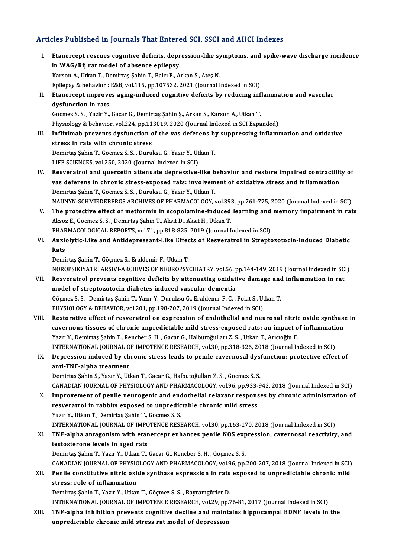### Articles Published in Journals That Entered SCI, SSCI and AHCI Indexes

- rticles Published in Journals That Entered SCI, SSCI and AHCI Indexes<br>I. Etanercept rescues cognitive deficits, depression-like symptoms, and spike-wave discharge incidence<br>in WAC (Bij ret model of shaanee opiloney Interaction of a binding in the direct<br>Etanercept rescues cognitive deficits, depr<br>in WAG/Rij rat model of absence epilepsy.<br>Karson A. Utkan T. Domintes Sabin T. Baku E. A. in WAG/Rij rat model of absence epilepsy.<br>Karson A., Utkan T., Demirtaş Şahin T., Balcı F., Arkan S., Ateş N. Epilepsy & behavior : E&B, vol.115, pp.107532, 2021 (Journal Indexed in SCI) Karson A., Utkan T., Demirtaş Şahin T., Balcı F., Arkan S., Ateş N.<br>Epilepsy & behavior : E&B, vol.115, pp.107532, 2021 (Journal Indexed in SCI)<br>II. Etanercept improves aging-induced cognitive deficits by reducing inflamma Epilepsy & behavior :<br>Etanercept improve<br>dysfunction in rats. Etanercept improves aging-induced cognitive deficits by reducing inf<br>dysfunction in rats.<br>Gocmez S. S. , Yazir Y., Gacar G., Demirtaş Şahin Ş., Arkan S., Karson A., Utkan T.<br>Physiology & bohavior vel 334 np 113019, 2020 (J dysfunction in rats.<br>Gocmez S. S. , Yazir Y., Gacar G., Demirtaş Şahin Ş., Arkan S., Karson A., Utkan T.<br>Physiology & behavior, vol.224, pp.113019, 2020 (Journal Indexed in SCI Expanded)<br>Infliximeb provents dusfunction of Gocmez S. S. , Yazir Y., Gacar G., Demirtaş Şahin Ş., Arkan S., Karson A., Utkan T.<br>Physiology & behavior, vol.224, pp.113019, 2020 (Journal Indexed in SCI Expanded)<br>III. Infliximab prevents dysfunction of the vas deferens Physiology & behavior, vol.224, pp.11<br>Infliximab prevents dysfunction c<br>stress in rats with chronic stress<br>Pomirtes Sabin T. Cosmoz S. S. Durui Infliximab prevents dysfunction of the vas deferens by<br>stress in rats with chronic stress<br>Demirtaş Şahin T., Gocmez S. S. , Duruksu G., Yazir Y., Utkan T.<br>LIEE SCIENCES vel 250, 2020 (Journal Indoved in SCI) stress in rats with chronic stress<br>Demirtaş Şahin T., Gocmez S. S. , Duruksu G., Yazir Y., Utkan T.<br>LIFE SCIENCES, vol.250, 2020 (Journal Indexed in SCI) Demirtaş Şahin T., Gocmez S. S. , Duruksu G., Yazir Y., Utkan T.<br>LIFE SCIENCES, vol.250, 2020 (Journal Indexed in SCI)<br>IV. Resveratrol and quercetin attenuate depressive-like behavior and restore impaired contractility of<br> LIFE SCIENCES, vol.250, 2020 (Journal Indexed in SCI)<br>Resveratrol and quercetin attenuate depressive-like behavior and restore impaired contractilit<br>vas deferens in chronic stress-exposed rats: involvement of oxidative str vas deferens in chronic stress-exposed rats: involvement of oxidative stress and inflammation<br>Demirtaş Şahin T., Gocmez S. S. , Duruksu G., Yazir Y., Utkan T. NAUNYN-SCHMIEDEBERGS ARCHIVES OF PHARMACOLOGY, vol.393, pp.761-775, 2020 (Journal Indexed in SCI) Demirtaş Şahin T., Gocmez S. S. , Duruksu G., Yazir Y., Utkan T.<br>NAUNYN-SCHMIEDEBERGS ARCHIVES OF PHARMACOLOGY, vol.393, pp.761-775, 2020 (Journal Indexed in SCI)<br>V. The protective effect of metformin in scopolamine-induce NAUNYN-SCHMIEDEBERGS ARCHIVES OF PHARMACOLOGY, vol.39.<br>The protective effect of metformin in scopolamine-induced<br>Aksoz E., Gocmez S. S. , Demirtaş Şahin T., Aksit D., Aksit H., Utkan T.<br>PHAPMACOLOGICAL PEROPTS, vol.71, pp. The protective effect of metformin in scopolamine-induced learning and<br>Aksoz E., Gocmez S. S. , Demirtaş Şahin T., Aksit D., Aksit H., Utkan T.<br>PHARMACOLOGICAL REPORTS, vol.71, pp.818-825, 2019 (Journal Indexed in SCI)<br>Anv Aksoz E., Gocmez S. S. , Demirtaş Şahin T., Aksit D., Aksit H., Utkan T.<br>PHARMACOLOGICAL REPORTS, vol.71, pp.818-825, 2019 (Journal Indexed in SCI)<br>VI. Anxiolytic-Like and Antidepressant-Like Effects of Resveratrol in PHARMACOLOGICAL REPORTS, vol.71, pp.818-825, 2019 (Journal Indexed in SCI)<br>Anxiolytic-Like and Antidepressant-Like Effects of Resveratrol in Strept<br>Rats<br>Demirtas Şahin T., Göçmez S., Eraldemir F., Utkan T. Anxiolytic-Like and Antidepressant-Like Effec<br>Rats<br>Demirtaş Şahin T., Göçmez S., Eraldemir F., Utkan T.<br>NOROBSIKIYATELARSIYI ARGUIYES OF NEUROBSY NOROPSIKIYATRIARSIVI-ARCHIVESOFNEUROPSYCHIATRY,vol.56,pp.144-149,2019 (Journal Indexed inSCI) Demirtaş Şahin T., Göçmez S., Eraldemir F., Utkan T.<br>NOROPSIKIYATRI ARSIVI-ARCHIVES OF NEUROPSYCHIATRY, vol.56, pp.144-149, 2019 (Journal Indexed in SC.<br>VII. Resveratrol prevents cognitive deficits by attenuating oxidative NOROPSIKIYATRI ARSIVI-ARCHIVES OF NEUROPSYCHIATRY, vol.56, p<br>Resveratrol prevents cognitive deficits by attenuating oxidation<br>model of streptozotocin diabetes induced vascular dementia<br>Cêsmas S.S., Domittae Sobin T. Varin Resveratrol prevents cognitive deficits by attenuating oxidative damage and<br>model of streptozotocin diabetes induced vascular dementia<br>Göçmez S. S. , Demirtaş Şahin T., Yazır Y., Duruksu G., Eraldemir F. C. , Polat S., Utk model of streptozotocin diabetes induced vascular dementia<br>Göçmez S. S. , Demirtaş Şahin T., Yazır Y., Duruksu G., Eraldemir F. C. , Polat S., Utkan T.<br>PHYSIOLOGY & BEHAVIOR, vol.201, pp.198-207, 2019 (Journal Indexed in S VIII. Restorative effect of resveratrol on expression of endothelial and neuronal nitric oxide synthase in PHYSIOLOGY & BEHAVIOR, vol.201, pp.198-207, 2019 (Journal Indexed in SCI)<br>Restorative effect of resveratrol on expression of endothelial and neuronal nitric oxide synthase<br>cavernous tissues of chronic unpredictable mild st Yazır Y., Demirtaş Şahin T., Rencber S. H., Gacar G., Halbutoğulları Z. S., Utkan T., Arıcıoğlu F. cavernous tissues of chronic unpredictable mild stress-exposed rats: an impact of inflammation<br>International Schin T., Rencber S. H. , Gacar G., Halbutoğulları Z. S. , Utkan T., Arıcıoğlu F.<br>INTERNATIONAL JOURNAL OF IMPOTE Yazır Y., Demirtaş Şahin T., Rencber S. H. , Gacar G., Halbutoğulları Z. S. , Utkan T., Arıcıoğlu F.<br>INTERNATIONAL JOURNAL OF IMPOTENCE RESEARCH, vol.30, pp.318-326, 2018 (Journal Indexed in SCI)<br>IX. Depression induced by INTERNATIONAL JOURNAL O<br>Depression induced by ch<br>anti-TNF-alpha treatment<br>Domirtos Sobin S. Voru V. Ut Depression induced by chronic stress leads to penile cavernosal dysfunction: protective effect of<br>anti-TNF-alpha treatment<br>Demirtaş Şahin Ş., Yazır Y., Utkan T., Gacar G., Halbutoğulları Z. S. , Gocmez S. S. anti-TNF-alpha treatment<br>Demirtaş Şahin Ş., Yazır Y., Utkan T., Gacar G., Halbutoğulları Z. S. , Gocmez S. S.<br>CANADIAN JOURNAL OF PHYSIOLOGY AND PHARMACOLOGY, vol.96, pp.933-942, 2018 (Journal Indexed in SCI)<br>Improvement o Demirtaş Şahin Ş., Yazır Y., Utkan T., Gacar G., Halbutoğulları Z. S. , Gocmez S. S.<br>CANADIAN JOURNAL OF PHYSIOLOGY AND PHARMACOLOGY, vol.96, pp.933-942, 2018 (Journal Indexed in SCI)<br>X. Improvement of penile neurogenic an CANADIAN JOURNAL OF PHYSIOLOGY AND PHARMACOLOGY, vol.96, pp.933-<br>Improvement of penile neurogenic and endothelial relaxant respons<br>resveratrol in rabbits exposed to unpredictable chronic mild stress<br>Yozyn V. Utkan T. Domin Improvement of penile neurogenic and end<br>resveratrol in rabbits exposed to unpredic<br>Yazır Y., Utkan T., Demirtaş Şahin T., Gocmez S. S.<br>INTERNATIONAL JOURNAL OF IMPOTENCE RESP resveratrol in rabbits exposed to unpredictable chronic mild stress<br>Yazır Y., Utkan T., Demirtaş Şahin T., Gocmez S. S.<br>INTERNATIONAL JOURNAL OF IMPOTENCE RESEARCH, vol.30, pp.163-170, 2018 (Journal Indexed in SCI) Yazır Y., Utkan T., Demirtaş Şahin T., Gocmez S. S.<br>INTERNATIONAL JOURNAL OF IMPOTENCE RESEARCH, vol.30, pp.163-170, 2018 (Journal Indexed in SCI)<br>XI. TNF-alpha antagonism with etanercept enhances penile NOS expression INTERNATIONAL JOURNAL OF IMPC<br>TNF-alpha antagonism with etan<br>testosterone levels in aged rats<br>Domintes Sobin T. Varu V. Utlen T. TNF-alpha antagonism with etanercept enhances penile NOS exp<br>testosterone levels in aged rats<br>Demirtaş Şahin T., Yazır Y., Utkan T., Gacar G., Rencber S. H. , Göçmez S. S.<br>CANADIAN JOUPNAL OF PHYSIOLOCY AND PHAPMACOLOCY va testosterone levels in aged rats<br>Demirtaş Şahin T., Yazır Y., Utkan T., Gacar G., Rencber S. H. , Göçmez S. S.<br>CANADIAN JOURNAL OF PHYSIOLOGY AND PHARMACOLOGY, vol.96, pp.200-207, 2018 (Journal Indexed in SCI)<br>Penila senst Demirtaş Şahin T., Yazır Y., Utkan T., Gacar G., Rencber S. H. , Göçmez S. S.<br>CANADIAN JOURNAL OF PHYSIOLOGY AND PHARMACOLOGY, vol.96, pp.200-207, 2018 (Journal Indexed in SCI)<br>XII. Penile constitutive nitric oxide synthas CANADIAN JOURNAL OF PHYSIC<br>Penile constitutive nitric oxidents:<br>stress: role of inflammation<br>Domittes Sebin T. Yozur V. Utlea XII. Penile constitutive nitric oxide synthase expression in rats exposed to unpredictable chronic mild<br>stress: role of inflammation<br>Demirtaş Şahin T., Yazır Y., Utkan T., Göçmez S. S., Bayramgürler D. INTERNATIONAL JOURNALOF IMPOTENCERESEARCH,vol.29,pp.76-81,2017 (Journal Indexed inSCI) Demirtaş Şahin T., Yazır Y., Utkan T., Göçmez S. S. , Bayramgürler D.<br>INTERNATIONAL JOURNAL OF IMPOTENCE RESEARCH, vol.29, pp.76-81, 2017 (Journal Indexed in SCI)<br>XIII. TNF-alpha inhibition prevents cognitive decline a
- INTERNATIONAL JOURNAL OF IMPOTENCE RESEARCH, vol.29, pp.<br>TNF-alpha inhibition prevents cognitive decline and maint<br>unpredictable chronic mild stress rat model of depression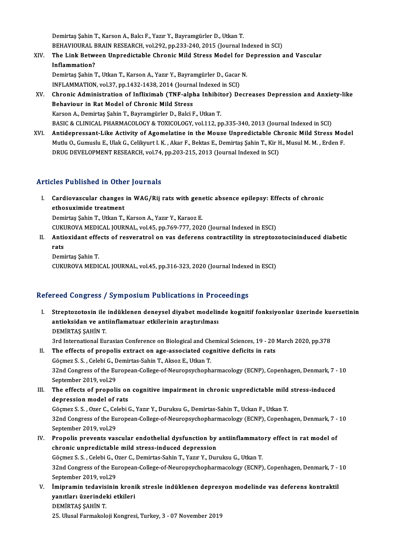Demirtaş Şahin T., Karson A., Balcı F., Yazır Y., Bayramgürler D., Utkan T. Demirtaş Şahin T., Karson A., Balcı F., Yazır Y., Bayramgürler D., Utkan T.<br>BEHAVIOURAL BRAIN RESEARCH, vol.292, pp.233-240, 2015 (Journal Indexed in SCI)<br>The Link Between Unnredistable Chronis Mild Strees Model for Denres

XIV. The Link Between Unpredictable Chronic Mild Stress Model for Depression and Vascular<br>Inflammation? BEHAVIOURAL E<br>The Link Betwe<br>Inflammation?<br>Domirtes Sebin 7 The Link Between Unpredictable Chronic Mild Stress Model for I<br>Inflammation?<br>Demirtaş Şahin T., Utkan T., Karson A., Yazır Y., Bayramgürler D., Gacar N.<br>INELAMMATION vel 37. nn 1432-1439-2014 (Journal Indexed in SCL) I<mark>nflammation?</mark><br>Demirtaş Şahin T., Utkan T., Karson A., Yazır Y., Bayramgürler D., Gacar<br>INFLAMMATION, vol.37, pp.1432-1438, 2014 (Journal Indexed in SCI)<br>Chronis Administration of Infliximab (TNE alpha Inbibitor), De

- Demirtaş Şahin T., Utkan T., Karson A., Yazır Y., Bayramgürler D., Gacar N.<br>INFLAMMATION, vol.37, pp.1432-1438, 2014 (Journal Indexed in SCI)<br>XV. Chronic Administration of Infliximab (TNF-alpha Inhibitor) Decreases Dep INFLAMMATION, vol.37, pp.1432-1438, 2014 (Journa<br>Chronic Administration of Infliximab (TNF-alph<br>Behaviour in Rat Model of Chronic Mild Stress<br>Karson A. Demirtes Sebin T. Beyramsürler D. Belsi L Chronic Administration of Infliximab (TNF-alpha Inhibit<br>Behaviour in Rat Model of Chronic Mild Stress<br>Karson A., Demirtaş Şahin T., Bayramgürler D., Balci F., Utkan T.<br>BASIC & CLINICAL BHARMACQLOCY & TOYICOLOCY vol.112 pi Behaviour in Rat Model of Chronic Mild Stress<br>Karson A., Demirtaş Şahin T., Bayramgürler D., Balci F., Utkan T.<br>BASIC & CLINICAL PHARMACOLOGY & TOXICOLOGY, vol.112, pp.335-340, 2013 (Journal Indexed in SCI)<br>Antidonnessent
- Karson A., Demirtaş Şahin T., Bayramgürler D., Balci F., Utkan T.<br>BASIC & CLINICAL PHARMACOLOGY & TOXICOLOGY, vol.112, pp.335-340, 2013 (Journal Indexed in SCI)<br>XVI. Antidepressant-Like Activity of Agomelatine in the Mouse BASIC & CLINICAL PHARMACOLOGY & TOXICOLOGY, vol.112, pp.335-340, 2013 (Journal Indexed in SCI)<br>Antidepressant-Like Activity of Agomelatine in the Mouse Unpredictable Chronic Mild Stress Moo<br>Mutlu O., Gumuslu E., Ulak G., C Antidepressant-Like Activity of Agomelatine in the Mouse Unpredictable Ch<br>Mutlu O., Gumuslu E., Ulak G., Celikyurt I. K. , Akar F., Bektas E., Demirtaş Şahin T., Kir F<br>DRUG DEVELOPMENT RESEARCH, vol.74, pp.203-215, 2013 (J DRUG DEVELOPMENT RESEARCH, vol.74, pp.203-215, 2013 (Journal Indexed in SCI)<br>Articles Published in Other Journals

rticles Published in Other Journals<br>I. Cardiovascular changes in WAG/Rij rats with genetic absence epilepsy: Effects of chronic<br>ethoewimide treatment ethos Tubilished in Gene<br>Cardiovascular changes<br>Ethosuximide treatment Cardiovascular changes in WAG/Rij rats with gene<br>ethosuximide treatment<br>Demirtaş Şahin T., Utkan T., Karson A., Yazır Y., Karaoz E.<br>CUKUROVA MEDICAL JOURNAL .vol 45. np.769.777.202. ethosuximide treatment<br>Demirtaş Şahin T., Utkan T., Karson A., Yazır Y., Karaoz E.<br>CUKUROVA MEDICAL JOURNAL, vol.45, pp.769-777, 2020 (Journal Indexed in ESCI)<br>Antioxidant effects of resueratrol on use deferens sentrestili

Demirtaş Şahin T., Utkan T., Karson A., Yazır Y., Karaoz E.<br>CUKUROVA MEDICAL JOURNAL, vol.45, pp.769-777, 2020 (Journal Indexed in ESCI)<br>II. Antioxidant effects of resveratrol on vas deferens contractility in streptozo CUKI<br><mark>Anti</mark><br>Pemi Antioxidant effe<br>rats<br>Demirtaş Şahin T.<br>CUKUROVA MEDI

rats<br>Demirtaş Şahin T.<br>CUKUROVA MEDICAL JOURNAL, vol.45, pp.316-323, 2020 (Journal Indexed in ESCI)

### Refereed Congress / Symposium Publications in Proceedings

- I. Streptozotosin ile indüklenen deneysel diyabet modelinde kognitif fonksiyonlar üzerinde kuersetinin antioksidan ve antiinflamatuar etkilerinin araştırılması<br>antioksidan ve antiinflamatuar etkilerinin araştırılması<br>DEMİPTAS SAHİN T Streptozotosin ile<br>antioksidan ve ant<br>DEMİRTAŞ ŞAHİN T.<br><sup>2nd Intonational Eu</sup> 3rd InternationalEurasianConference onBiologicalandChemicalSciences,19 -20March 2020,pp.378
- DEMIRTAŞ ŞAHİN T.<br>3rd International Eurasian Conference on Biological and Chemical Sciences, 19 20 .<br>II. The effects of propolis extract on age-associated cognitive deficits in rats<br> $C^{\frac{2}{9}}$  amer S.S. Calabi C. Domint 3rd International Eurasian Conference on Biological and Ch<br>The effects of propolis extract on age-associated cog<br>Göçmez S. S. , Celebi G., Demirtas-Sahin T., Aksoz E., Utkan T.<br>22nd Congress of the European College of Neur The effects of propolis extract on age-associated cognitive deficits in rats<br>Göçmez S. S. , Celebi G., Demirtas-Sahin T., Aksoz E., Utkan T.<br>32nd Congress of the European-College-of-Neuropsychopharmacology (ECNP), Copenhag

Göçmez S. S. , Celebi G., D<br>32nd Congress of the Eu<br>September 2019, vol.29<br>The offects of propoli 32nd Congress of the European-College-of-Neuropsychopharmacology (ECNP), Copenhagen, Denmark, 7 -<br>September 2019, vol.29<br>III. The effects of propolis on cognitive impairment in chronic unpredictable mild stress-induced<br>dep

September 2019, vol.29<br>The effects of propolis on<br>depression model of rats The effects of propolis on cognitive impairment in chronic unpredictable mild<br>depression model of rats<br>Göçmez S. S. , Ozer C., Celebi G., Yazır Y., Duruksu G., Demirtas-Sahin T., Uckan F., Utkan T.<br>22nd Congress of the Eur

depression model of rats<br>Göçmez S. S. , Ozer C., Celebi G., Yazır Y., Duruksu G., Demirtas-Sahin T., Uckan F., Utkan T.<br>32nd Congress of the European-College-of-Neuropsychopharmacology (ECNP), Copenhagen, Denmark, 7 - 10<br>S Göçmez S. S., Ozer C., Celebi G., Yazır Y., Duruksu G., Demirtas-Sahin T., Uckan F., Utkan T. 32nd Congress of the European-College-of-Neuropsychopharmacology (ECNP), Copenhagen, Denmark, 7 -<br>September 2019, vol.29<br>IV. Propolis prevents vascular endothelial dysfunction by antiinflammatory effect in rat model of<br>chr

### September 2019, vol.29<br>Propolis prevents vascular endothelial dysfunction by<br>chronic unpredictable mild stress-induced depression<br>Cögmar S.S. Colobi C. Orar C. Domirtes Sobin T. Vogur V. Dur Propolis prevents vascular endothelial dysfunction by antiinflammato<br>chronic unpredictable mild stress-induced depression<br>Göçmez S. S. , Celebi G., Ozer C., Demirtas-Sahin T., Yazır Y., Duruksu G., Utkan T.<br>22nd Congress o chronic unpredictable mild stress-induced depression<br>Göçmez S. S. , Celebi G., Ozer C., Demirtas-Sahin T., Yazır Y., Duruksu G., Utkan T.<br>32nd Congress of the European-College-of-Neuropsychopharmacology (ECNP), Copenhagen,

Göçmez S. S. , Celebi G., O<br>32nd Congress of the Eu<br>September 2019, vol.29<br>Iminnamin tedevisinin 32nd Congress of the European-College-of-Neuropsychopharmacology (ECNP), Copenhagen, Denmark, 7 -<br>September 2019, vol.29<br>V. İmipramin tedavisinin kronik stresle indüklenen depresyon modelinde vas deferens kontraktil<br>vonu

September 2019, vol.29<br>İmipramin tedavisinin kroni<br>yanıtları üzerindeki etkileri<br>DEMİPTAS SAHİN T İmipramin tedavis<br>yanıtları üzerindel<br>DEMİRTAŞ ŞAHİN T.<br>25 Ulucal Farmakala 19. yanıtları üzerindeki etkileri<br>19. DEMİRTAŞ ŞAHİN T.<br>25. Ulusal Farmakoloji Kongresi, Turkey, 3 - 07 November 2019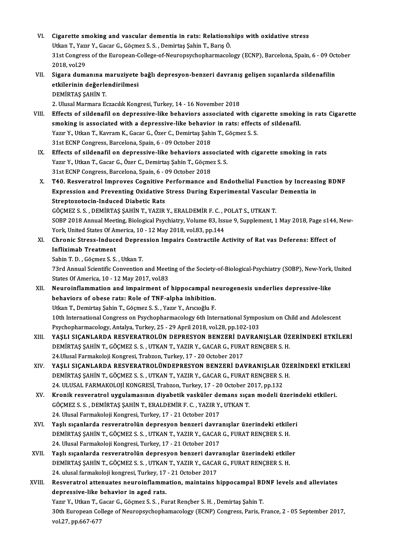- VI. Cigarette smoking and vascular dementia in rats: Relationships with oxidative stress Cigarette smoking and vascular dementia in rats: Relations)<br>Utkan T., Yazır Y., Gacar G., Göçmez S. S. , Demirtaş Şahin T., Barış Ö.<br>21st Congress of the European College of Neuropeyshophermessle Cigarette smoking and vascular dementia in rats: Relationships with oxidative stress<br>Utkan T., Yazır Y., Gacar G., Göçmez S. S. , Demirtaş Şahin T., Barış Ö.<br>31st Congress of the European-College-of-Neuropsychopharmacology Utkan T., Yazı<br>31st Congres<br>2018, vol.29<br>Sigana dumı 31st Congress of the European-College-of-Neuropsychopharmacology (ECNP), Barcelona, Spain, 6 - 09 Oct<br>2018, vol.29<br>VII. Sigara dumanına maruziyete bağlı depresyon-benzeri davranış gelişen sıçanlarda sildenafilin<br>etkilo
- 2018, vol.29<br>Sigara dumanına maruziyete<br>etkilerinin değerlendirilmesi<br>DEMİPTAS SAHİN T etkilerinin değerlendirilmesi<br>DEMİRTAŞ ŞAHİN T.

2. Ulusal Marmara Eczacılık Kongresi, Turkey, 14 - 16 November 2018

- DEMIRTAŞ ŞAHİN T.<br>2. Ulusal Marmara Eczacılık Kongresi, Turkey, 14 16 November 2018<br>VIII. Effects of sildenafil on depressive-like behaviors associated with cigarette smoking in rats Cigarette<br>2. Alli 2. Ulusal Marmara Eczacılık Kongresi, Turkey, 14 - 16 November 2018<br>Effects of sildenafil on depressive-like behaviors associated with cigarette smokin<br>smoking is associated with a depressive-like behavior in rats: effects Effects of sildenafil on depressive-like behaviors associated with cig<br>smoking is associated with a depressive-like behavior in rats: effect<br>Yazır Y., Utkan T., Kavram K., Gacar G., Özer C., Demirtaş Şahin T., Göçmez S. S. smoking is associated with a depressive-like behavior in rats: effects of sildenafil.<br>Yazır Y., Utkan T., Kavram K., Gacar G., Özer C., Demirtaş Şahin T., Göçmez S. S.<br>31st ECNP Congress, Barcelona, Spain, 6 - 09 October 2
- IX. Effects of sildenafil on depressive-like behaviors associated with cigarette smoking in rats 31st ECNP Congress, Barcelona, Spain, 6 - 09 October 2018<br>Effects of sildenafil on depressive-like behaviors associate<br>Yazır Y., Utkan T., Gacar G., Özer C., Demirtaş Şahin T., Göçmez S. S.<br>21st ECNP Congress Parselona, Sp Effects of sildenafil on depressive-like behaviors ass<br>Yazır Y., Utkan T., Gacar G., Özer C., Demirtaş Şahin T., Göçme<br>31st ECNP Congress, Barcelona, Spain, 6 - 09 October 2018<br>T40, Besuenstral Impreyes Cospitive Berforman 31st ECNP Congress, Barcelona, Spain, 6 - 09 October 2018<br>X. T40. Resveratrol Improves Cognitive Performance and Endothelial Function by Increasing BDNF
- 31st ECNP Congress, Barcelona, Spain, 6 09 October 2018<br>T40. Resveratrol Improves Cognitive Performance and Endothelial Function by Increasi<br>Expression and Preventing Oxidative Stress During Experimental Vascular Dementi T40. Resveratrol Improves Cognitive<br>Expression and Preventing Oxidative<br>Streptozotocin-Induced Diabetic Rats<br>CÖCMEZS S. DEMIPTAS SAHIN T. VAZIP Expression and Preventing Oxidative Stress During Experimental Vascular<br>Streptozotocin-Induced Diabetic Rats<br>GÖÇMEZ S.S.,DEMİRTAŞ ŞAHİN T., YAZIR Y., ERALDEMİR F. C. , POLAT S., UTKAN T.<br>SOPP 2019 Annual Mesting Bialagisal

Streptozotocin-Induced Diabetic Rats<br>GÖÇMEZ S. S. , DEMİRTAŞ ŞAHİN T., YAZIR Y., ERALDEMİR F. C. , POLAT S., UTKAN T.<br>SOBP 2018 Annual Meeting, Biological Psychiatry, Volume 83, Issue 9, Supplement, 1 May 2018, Page s144, GÖÇMEZ S. S. , DEMIRTAŞ ŞAHİN T., YAZIR Y., ERALDEMİR F. C. , F<br>SOBP 2018 Annual Meeting, Biological Psychiatry, Volume 83, Iss<br>York, United States Of America, 10 - 12 May 2018, vol.83, pp.144<br>Chronis Stross, Indused Donro SOBP 2018 Annual Meeting, Biological Psychiatry, Volume 83, Issue 9, Supplement, 1 May 2018, Page s144<br>York, United States Of America, 10 - 12 May 2018, vol.83, pp.144<br>XI. Chronic Stress-Induced Depression Impairs Contract

York, United States Of America, 10 - 12 May 2018, vol.83, pp.144<br>Chronic Stress-Induced Depression Impairs Contractile A<br>Infliximab Treatment<br>Sahin T. D., Göcmez S. S., Utkan T. XI. Chronic Stress-Induced Depression Impairs Contractile Activity of Rat vas Deferens: Effect of

73rd Annual Scientific Convention and Meeting of the Society-of-Biological-Psychiatry (SOBP), New-York, United States Of America, 10 - 12 May 2017, vol.83 73rd Annual Scientific Convention and Meeting of the Society-of-Biological-Psychiatry (SOBP), New-York,<br>States Of America, 10 - 12 May 2017, vol.83<br>XII. Neuroinflammation and impairment of hippocampal neurogenesis underlie

States Of America, 10 - 12 May 2017, vol.83<br>Neuroinflammation and impairment of hippocampal no<br>behaviors of obese rats: Role of TNF-alpha inhibition.<br>Utkan T. Domirtes Sabin T. Gösmer S. S., Varu V. Angoğlu E. Neuroinflammation and impairment of hippocampal no<br>behaviors of obese rats: Role of TNF-alpha inhibition.<br>Utkan T., Demirtaş Şahin T., Göçmez S. S. , Yazır Y., Arıcıoğlu F.<br>10th International Congress on Peychonbermeselogy behaviors of obese rats: Role of TNF-alpha inhibition.<br>Utkan T., Demirtaş Şahin T., Göçmez S. S. , Yazır Y., Arıcıoğlu F.<br>10th International Congress on Psychopharmacology 6th International Symposium on Child and Adolescen

Utkan T., Demirtaş Şahin T., Göçmez S. S. , Yazır Y., Arıcıoğlu F.<br>10th International Congress on Psychopharmacology 6th International Sympo<br>Psychopharmacology, Antalya, Turkey, 25 - 29 April 2018, vol.28, pp.102-103<br>YASI 10th International Congress on Psychopharmacology 6th International Symposium on Child and Adolescent<br>Psychopharmacology, Antalya, Turkey, 25 - 29 April 2018, vol.28, pp.102-103<br>XIII. YAŞLI SIÇANLARDA RESVERATROLÜN DEPRESY

- Psychopharmacology, Antalya, Turkey, 25 29 April 2018, vol.28, pp.102-103<br>YAŞLI SIÇANLARDA RESVERATROLÜN DEPRESYON BENZERİ DAVRANIŞLAR ÜZ<br>DEMİRTAŞ ŞAHİN T., GÖÇMEZ S. S. , UTKAN T., YAZIR Y., GACAR G., FURAT RENÇBER S. H YAŞLI SIÇANLARDA RESVERATROLÜN DEPRESYON BENZERİ DA<br>DEMİRTAŞ ŞAHİN T., GÖÇMEZ S. S. , UTKAN T., YAZIR Y., GACAR G., FURA<br>24.Ulusal Farmakoloji Kongresi, Trabzon, Turkey, 17 - 20 October 2017<br>YASLI SICANLARDA BESVERATROLÜND DEMİRTAŞ ŞAHİN T., GÖÇMEZ S. S. , UTKAN T., YAZIR Y., GACAR G., FURAT RENÇBER S. H.<br>24.Ulusal Farmakoloji Kongresi, Trabzon, Turkey, 17 - 20 October 2017<br>XIV. YAŞLI SIÇANLARDA RESVERATROLÜNDEPRESYON BENZERİ DAVRANIŞLAR
- 24.Ulusal Farmakoloji Kongresi, Trabzon, Turkey, 17 20 October 2017<br>YAŞLI SIÇANLARDA RESVERATROLÜNDEPRESYON BENZERİ DAVRANIŞLAR ÜZI<br>DEMİRTAŞ ŞAHİN T., GÖÇMEZ S. S. , UTKAN T., YAZIR Y., GACAR G., FURAT RENÇBER S. H.<br>24. YAŞLI SIÇANLARDA RESVERATROLÜNDEPRESYON BENZERİ DAVRANIŞLAR Ü<br>DEMİRTAŞ ŞAHİN T., GÖÇMEZ S. S. , UTKAN T., YAZIR Y., GACAR G., FURAT RENÇBER S.<br>24. ULUSAL FARMAKOLOJİ KONGRESİ, Trabzon, Turkey, 17 - 20 October 2017, pp.132<br> DEMİRTAŞ ŞAHİN T., GÖÇMEZ S. S. , UTKAN T., YAZIR Y., GACAR G., FURAT RENÇBER S. H.<br>24. ULUSAL FARMAKOLOJİ KONGRESİ, Trabzon, Turkey, 17 - 20 October 2017, pp.132<br>XV. Kronik resveratrol uygulamasının diyabetik vasküler
- 24. ULUSAL FARMAKOLOJİ KONGRESİ, Trabzon, Turkey, 17 20 October 2<br>Kronik resveratrol uygulamasının diyabetik vasküler demans sıça<br>GÖÇMEZ S. S. , DEMİRTAŞ ŞAHİN T., ERALDEMİR F. C. , YAZIR Y., UTKAN T.<br>24. Ulusal Farmakal Kronik resveratrol uygulamasının diyabetik vasküler de<br>GÖÇMEZ S.S., DEMİRTAŞ ŞAHİN T., ERALDEMİR F. C., YAZIR Y.<br>24. Ulusal Farmakoloji Kongresi, Turkey, 17 - 21 October 2017<br>Yaslı sıcanlarda resveratrolün danrasıyan bansa GÖÇMEZ S. S. , DEMİRTAŞ ŞAHİN T., ERALDEMİR F. C. , YAZIR Y., UTKAN T.<br>24. Ulusal Farmakoloji Kongresi, Turkey, 17 - 21 October 2017<br>XVI. Yaşlı sıçanlarda resveratrolün depresyon benzeri davranışlar üzerindeki etkileri
- 24. Ulusal Farmakoloji Kongresi, Turkey, 17 21 October 2017<br>Yaşlı sıçanlarda resveratrolün depresyon benzeri davranışlar üzerindeki etkile<br>DEMİRTAŞ ŞAHİN T., GÖÇMEZ S. S. , UTKAN T., YAZIR Y., GACAR G., FURAT RENÇBER S. Yaşlı sıçanlarda resveratrolün depresyon benzeri davra<br>DEMİRTAŞ ŞAHİN T., GÖÇMEZ S. S. , UTKAN T., YAZIR Y., GACAR<br>24. Ulusal Farmakoloji Kongresi, Turkey, 17 - 21 October 2017<br>Yaşlı sıçanlarda resveratrolün danrasyon bans DEMİRTAŞ ŞAHİN T., GÖÇMEZ S. S. , UTKAN T., YAZIR Y., GACAR G., FURAT RENÇBER S. H.<br>24. Ulusal Farmakoloji Kongresi, Turkey, 17 - 21 October 2017<br>XVII. Yaşlı sıçanlarda resveratrolün depresyon benzeri davranışlar üzerindek
- 24. Ulusal Farmakoloji Kongresi, Turkey, 17 21 October 2017<br>Yaşlı sıçanlarda resveratrolün depresyon benzeri davranışlar üzerindeki etkile<br>DEMİRTAŞ ŞAHİN T., GÖÇMEZ S. S. , UTKAN T., YAZIR Y., GACAR G., FURAT RENÇBER S. Yaşlı sıçanlarda resveratrolün depresyon benzeri davr<br>DEMİRTAŞ ŞAHİN T., GÖÇMEZ S. S. , UTKAN T., YAZIR Y., GACAI<br>24. ulusal farmakoloji kongresi, Turkey, 17 - 21 October 2017<br>Besveratral attenuates neuroinflammation, main DEMİRTAŞ ŞAHİN T., GÖÇMEZ S. S. , UTKAN T., YAZIR Y., GACAR G., FURAT RENÇBER S. H.<br>24. ulusal farmakoloji kongresi, Turkey, 17 - 21 October 2017<br>XVIII. Resveratrol attenuates neuroinflammation, maintains hippocampal BDNF
- 24. ulusal farmakoloji kongresi, Turkey, 17 21 October 2017<br>Resveratrol attenuates neuroinflammation, maintains hippocampal BD<br>depressive-like behavior in aged rats.<br>Yazır Y., Utkan T., Gacar G., Göçmez S. S. , Furat Ren Resveratrol attenuates neuroinflammation, maintains hippocampal BE<br>depressive-like behavior in aged rats.<br>Yazır Y., Utkan T., Gacar G., Göçmez S. S. , Furat Rençber S. H. , Demirtaş Şahin T.<br>20th European Collage of Neurop

depressive-like behavior in aged rats.<br>Yazır Y., Utkan T., Gacar G., Göçmez S. S. , Furat Rençber S. H. , Demirtaş Şahin T.<br>30th European College of Neuropsychophamacology (ECNP) Congress, Paris, France, 2 - 05 September 2 Yazır Y., Utkan T., G<br>30th European Col<br>vol.27, pp.667-677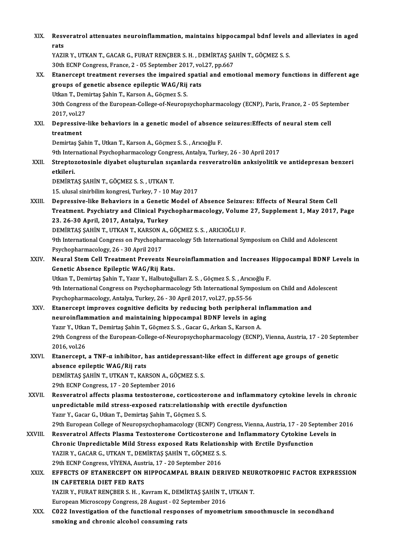| XIX.    | Resveratrol attenuates neuroinflammation, maintains hippocampal bdnf levels and alleviates in aged                                             |
|---------|------------------------------------------------------------------------------------------------------------------------------------------------|
|         | rats                                                                                                                                           |
|         | YAZIR Y., UTKAN T., GACAR G., FURAT RENÇBER S. H., DEMİRTAŞ ŞAHİN T., GÖÇMEZ S. S.                                                             |
|         | 30th ECNP Congress, France, 2 - 05 September 2017, vol.27, pp.667                                                                              |
| XX.     | Etanercept treatment reverses the impaired spatial and emotional memory functions in different age                                             |
|         | groups of genetic absence epileptic WAG/Rij rats                                                                                               |
|         | Utkan T., Demirtaş Şahin T., Karson A., Göçmez S. S.                                                                                           |
|         | 30th Congress of the European-College-of-Neuropsychopharmacology (ECNP), Paris, France, 2 - 05 September                                       |
|         | 2017, vol.27                                                                                                                                   |
| XXI.    | Depressive-like behaviors in a genetic model of absence seizures: Effects of neural stem cell                                                  |
|         | treatment                                                                                                                                      |
|         | Demirtaş Şahin T., Utkan T., Karson A., Göçmez S. S., Arıcıoğlu F.                                                                             |
|         | 9th International Psychopharmacology Congress, Antalya, Turkey, 26 - 30 April 2017                                                             |
| XXII.   | Streptozotosinle diyabet oluşturulan sıçanlarda resveratrolün anksiyolitik ve antidepresan benzeri                                             |
|         | etkileri.                                                                                                                                      |
|         | DEMIRTAS SAHIN T., GÖÇMEZ S. S., UTKAN T.                                                                                                      |
|         | 15. ulusal sinirbilim kongresi, Turkey, 7 - 10 May 2017                                                                                        |
| XXIII.  | Depressive-like Behaviors in a Genetic Model of Absence Seizures: Effects of Neural Stem Cell                                                  |
|         | Treatment. Psychiatry and Clinical Psychopharmacology, Volume 27, Supplement 1, May 2017, Page                                                 |
|         | 23. 26-30 April, 2017, Antalya, Turkey<br>DEMİRTAŞ ŞAHİN T., UTKAN T., KARSON A., GÖÇMEZ S. S., ARICIOĞLU F.                                   |
|         |                                                                                                                                                |
|         | 9th International Congress on Psychopharmacology 5th International Symposium on Child and Adolescent<br>Psychopharmacology, 26 - 30 April 2017 |
| XXIV.   | Neural Stem Cell Treatment Prevents Neuroinflammation and Increases Hippocampal BDNF Levels in                                                 |
|         | Genetic Absence Epileptic WAG/Rij Rats.                                                                                                        |
|         | Utkan T., Demirtaş Şahin T., Yazır Y., Halbutoğulları Z. S., Göçmez S. S., Arıcıoğlu F.                                                        |
|         | 9th International Congress on Psychopharmacology 5th International Symposium on Child and Adolescent                                           |
|         | Psychopharmacology, Antalya, Turkey, 26 - 30 April 2017, vol.27, pp.55-56                                                                      |
| XXV.    | Etanercept improves cognitive deficits by reducing both peripheral inflammation and                                                            |
|         | neuroinflammation and maintaining hippocampal BDNF levels in aging                                                                             |
|         | Yazır Y., Utkan T., Demirtaş Şahin T., Göçmez S. S., Gacar G., Arkan S., Karson A.                                                             |
|         | 29th Congress of the European-College-of-Neuropsychopharmacology (ECNP), Vienna, Austria, 17 - 20 September                                    |
|         | 2016, vol.26                                                                                                                                   |
| XXVI.   | Etanercept, a TNF-a inhibitor, has antidepressant-like effect in different age groups of genetic                                               |
|         | absence epileptic WAG/Rij rats                                                                                                                 |
|         | DEMİRTAŞ ŞAHİN T., UTKAN T., KARSON A., GÖÇMEZ S. S.                                                                                           |
|         | 29th ECNP Congress, 17 - 20 September 2016                                                                                                     |
| XXVII.  | Resveratrol affects plasma testosterone, corticosterone and inflammatory cytokine levels in chronic                                            |
|         | unpredictable mild stress-exposed rats:relationship with erectile dysfunction                                                                  |
|         | Yazır Y., Gacar G., Utkan T., Demirtaş Şahin T., Göçmez S. S.                                                                                  |
|         | 29th European College of Neuropsychophamacology (ECNP) Congress, Vienna, Austria, 17 - 20 September 2016                                       |
| XXVIII. | Resveratrol Affects Plasma Testosterone Corticosterone and Inflammatory Cytokine Levels in                                                     |
|         | Chronic Unpredictable Mild Stress exposed Rats Relationship with Erctile Dysfunction                                                           |
|         | YAZIR Y., GACAR G., UTKAN T., DEMİRTAŞ ŞAHİN T., GÖÇMEZ S. S.                                                                                  |
|         | 29th ECNP Congress, VİYENA, Austria, 17 - 20 September 2016                                                                                    |
| XXIX.   | EFFECTS OF ETANERCEPT ON HIPPOCAMPAL BRAIN DERIVED NEUROTROPHIC FACTOR EXPRESSION                                                              |
|         | IN CAFETERIA DIET FED RATS                                                                                                                     |
|         | YAZIR Y., FURAT RENÇBER S. H., Kavram K., DEMİRTAŞ ŞAHİN T., UTKAN T.                                                                          |
|         | European Microscopy Congress, 28 August - 02 September 2016                                                                                    |
| XXX.    | C022 Investigation of the functional responses of myometrium smoothmuscle in secondhand                                                        |
|         | smoking and chronic alcohol consuming rats                                                                                                     |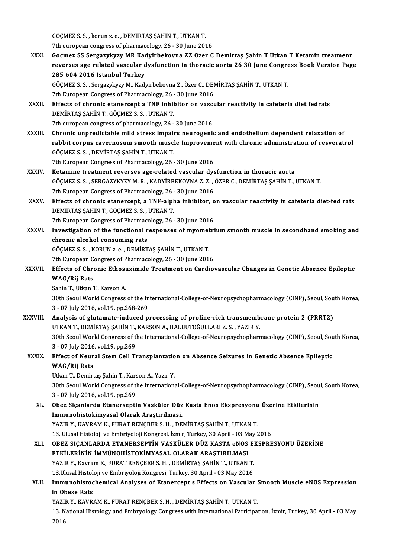GÖÇMEZ S. S. , korun z. e. , DEMİRTAŞ ŞAHİN T., UTKAN T.<br>7th euronean cangyeze of pharmacelogy, 26, 20 June 202 GÖÇMEZ S. S. , korun z. e. , DEMİRTAŞ ŞAHİN T., UTKAN T.<br>7th european congress of pharmacology, 26 - 30 June 2016<br>Cosmaz SS Sangarulumu MB Kadvirhalsayna 77 Ozan C

XXXI. Gocmez SS SergazykyzyMR Kadyirbekovna ZZ Ozer C Demirtaş Şahin T Utkan T Ketamin treatment 7th european congress of pharmacology, 26 - 30 June 2016<br>Gocmez SS Sergazykyzy MR Kadyirbekovna ZZ Ozer C Demirtaş Şahin T Utkan T Ketamin treatment<br>reverses age related vascular dysfunction in thoracic aorta 26 30 June Co Gocmez SS Sergazykyzy MR Kao<br>reverses age related vascular d<br>285 604 2016 Istanbul Turkey<br>CÖCMEZ S.S.Sergazykunu M. Kadı reverses age related vascular dysfunction in thoracic aorta 26 30 June Congre<br>285 604 2016 Istanbul Turkey<br>GÖÇMEZ S.S., Sergazykyzy M., Kadyirbekovna Z., Özer C., DEMİRTAŞ ŞAHİN T., UTKAN T.<br><sup>7th Euronean Congress of Pharm</sup> 285 604 2016 Istanbul Turkey<br>GÖÇMEZ S. S. , Sergazykyzy M., Kadyirbekovna Z., Özer C., DEMİRTAŞ ŞAHİN T., UTKAN T.

7th European Congress of Pharmacology, 26 - 30 June 2016

- XXXII. Effects of chronic etanercept a TNF inhibitor on vascular reactivity in cafeteria diet fedrats<br>DEMIRTAS SAHIN T. GÖCMEZ S. S., UTKAN T. 7th european congress of pharmacology, 26 - 30 June 2016
- DEMIRTAŞ ŞAHİN T., GÖÇMEZ S. S. , UTKAN T.<br>7th european congress of pharmacology, 26 30 June 2016<br>XXXIII. Chronic unpredictable mild stress impairs neurogenic and endothelium dependent relaxation of<br>xxXIII. Chronic unpre 7th european congress of pharmacology, 26 - 30 June 2016<br>Chronic unpredictable mild stress impairs neurogenic and endothelium dependent relaxation of<br>rabbit corpus cavernosum smooth muscle Improvement with chronic administ rabbit corpus cavernosum smooth muscle Improvement with chronic administration of resveratrol GÖÇMEZ S.S., DEMİRTAŞ ŞAHİN T., UTKAN T. 7th European Congress of Pharmacology, 26 - 30 June 2016

XXXIV. Ketamine treatment reverses age-related vascular dysfunction in thoracic aorta

- 7th European Congress of Pharmacology, 26 30 June 2016<br>Ketamine treatment reverses age-related vascular dysfunction in thoracic aorta<br>GÖÇMEZ S.S. , SERGAZYKYZY M. R. , KADYİRBEKOVNA Z. Z. , ÖZER C., DEMİRTAŞ ŞAHİN T., UT Ketamine treatment reverses age-related vascular dys<br>GÖÇMEZ S.S., SERGAZYKYZY M. R., KADYİRBEKOVNA Z. Z.,<br>7th European Congress of Pharmacology, 26 - 30 June 2016<br>Effects of shnonis stanonsont, a TNE alpha inhibitor, s GÖÇMEZ S. S. , SERGAZYKYZY M. R. , KADYİRBEKOVNA Z. Z. , ÖZER C., DEMİRTAŞ ŞAHİN T., UTKAN T.<br>7th European Congress of Pharmacology, 26 - 30 June 2016<br>XXXV. Effects of chronic etanercept, a TNF-alpha inhibitor, on vasc
- 7th European Congress of Pharmacology, 26 30 June 2016<br>Effects of chronic etanercept, a TNF-alpha inhibitor, on vascular reactivity in cafeteria diet-fed rats<br>DEMİRTAŞ ŞAHİN T., GÖÇMEZ S. S. , UTKAN T. Effects of chronic etanercept, a TNF-alpha inhibitor, o<br>DEMİRTAŞ ŞAHİN T., GÖÇMEZ S. S. , UTKAN T.<br>7th European Congress of Pharmacology, 26 - 30 June 2016<br>Investigation of the functional reaponess of musmatri
- XXXVI. Investigation of the functional responses of myometrium smooth muscle in secondhand smoking and chronic alcohol consuming rats Tth European Congress of Pharmace<br>Investigation of the functional r<br>chronic alcohol consuming rats<br>CÖCMEZSS KOPUNIZA DEMIPT Investigation of the functional responses of myomet<br>chronic alcohol consuming rats<br>GÖÇMEZ S.S., KORUN z.e., DEMİRTAŞ ŞAHİN T., UTKAN T.<br><sup>7th Euronean Congress of Pharmasology, 26, 20 June 201</sub></sup> chronic alcohol consuming rats<br>GÖÇMEZ S.S., KORUN z.e., DEMİRTAŞ ŞAHİN T., UTKAN T.<br>7th European Congress of Pharmacology, 26 - 30 June 2016<br>Effects of Chronic Ethecuvimide Treatment on Cardio

GÖÇMEZ S. S. , KORUN z. e. , DEMİRTAŞ ŞAHİN T., UTKAN T.<br>7th European Congress of Pharmacology, 26 - 30 June 2016<br>XXXVII. Effects of Chronic Ethosuximide Treatment on Cardiovascular Changes in Genetic Absence Epileptic 7th European Congress of Pharmacology, 26 - 30 June 2016<br>Effects of Chronic Ethosuximide Treatment on Cardio<br>WAG/Rij Rats<br>Sahin T., Utkan T., Karson A. Effects of Chronic Ethos<mark>t</mark><br>WAG/Rij Rats<br>Sahin T., Utkan T., Karson A.<br><sup>20th</sup> Seaul Warld Congress.

30th Seoul World Congress of the International-College-of-Neuropsychopharmacology (CINP), Seoul, South Korea, 3 -07 July2016,vol.19,pp.268-269 30th Seoul World Congress of the International-College-of-Neuropsychopharmacology (CINP), Seoul, Sou<br>3 - 07 July 2016, vol.19, pp.268-269<br>XXXVIII. Analysis of glutamate-induced processing of proline-rich transmembrane prot

3 - 07 July 2016, vol.19, pp.268-269<br>Analysis of glutamate-induced processing of proline-rich transmemb<br>UTKAN T., DEMİRTAŞ ŞAHİN T., KARSON A., HALBUTOĞULLARI Z. S. , YAZIR Y.<br>20th Seaul Warld Cangress of the International Analysis of glutamate-induced processing of proline-rich transmembrane protein 2 (PRRT2)<br>UTKAN T., DEMİRTAŞ ŞAHİN T., KARSON A., HALBUTOĞULLARI Z. S. , YAZIR Y.<br>30th Seoul World Congress of the International-College-of-Neu UTKAN T., DEMIRTAŞ ŞAHİN T.,<br>30th Seoul World Congress of the<br>3 - 07 July 2016, vol.19, pp.269<br>Effect of Nounal Stam Gall T.

### 30th Seoul World Congress of the International-College-of-Neuropsychopharmacology (CINP), Seoul, Sou<br>3 - 07 July 2016, vol.19, pp.269<br>XXXIX. Effect of Neural Stem Cell Transplantation on Absence Seizures in Genetic Absence 3 - 07 July 2016, vol.19, pp.269<br>Effect of Neural Stem Cell Transplantatio<br>WAG/Rij Rats<br>Utkan T., Demirtas Sahin T., Karson A., Yazır Y. Effect of Neural Stem Cell Transplantation on Absence Seizures in Genetic Absence Epileptic

30th Seoul World Congress of the International-College-of-Neuropsychopharmacology (CINP), Seoul, South Korea, 3 -07 July2016,vol.19,pp.269

30th Seoul World Congress of the International-College-of-Neuropsychopharmacology (CINP), Seou<br>3 - 07 July 2016, vol.19, pp.269<br>XL. Obez Siçanlarda Etanerseptin Vasküler Düz Kasta Enos Ekspresyonu Üzerine Etkilerinin<br>Immün 3 - 07 July 2016, vol.19, pp.269<br>Obez Siçanlarda Etanerseptin Vasküler Düz<br>Immünohistokimyasal Olarak Araştirilmasi.<br>YAZIB V. KAVRAM K. EURAT RENCRER S. H. DE Immünohistokimyasal Olarak Araştirilmasi.<br>YAZIR Y., KAVRAM K., FURAT RENÇBER S. H. , DEMİRTAŞ ŞAHİN T., UTKAN T. Immünohistokimyasal Olarak Araştirilmasi.<br>YAZIR Y., KAVRAM K., FURAT RENÇBER S. H. , DEMİRTAŞ ŞAHİN T., UTKAN T.<br>13. Ulusal Histoloji ve Embriyoloji Kongresi, İzmir, Turkey, 30 April - 03 May 2016<br>OBEZ SICANLARDA ETANERSER XLI. OBEZ SIÇANLARDA ETANERSEPTİN VASKÜLER DÜZ KASTA eNOS EKSPRESYONU ÜZERİNE

13. Ulusal Histoloji ve Embriyoloji Kongresi, İzmir, Turkey, 30 April - 03 M<br>OBEZ SIÇANLARDA ETANERSEPTİN VASKÜLER DÜZ KASTA eNOS<br>ETKİLERİNİN İMMÜNOHİSTOKİMYASAL OLARAK ARAŞTIRILMASI<br>VAZIB V. Kayram K. EUBAT BENÇBER S. H. OBEZ SIÇANLARDA ETANERSEPTİN VASKÜLER DÜZ KASTA eNOS E<br>ETKİLERİNİN İMMÜNOHİSTOKİMYASAL OLARAK ARAŞTIRILMASI<br>YAZIR Y., Kavram K., FURAT RENÇBER S. H. , DEMİRTAŞ ŞAHİN T., UTKAN T.<br>12 Husel Histolaji ve Embriyalaji Kanstesi ETKİLERİNİN İMMÜNOHİSTOKİMYASAL OLARAK ARAŞTIRILMASI<br>YAZIR Y., Kavram K., FURAT RENÇBER S. H. , DEMİRTAŞ ŞAHİN T., UTKAN T. YAZIR Y., Kavram K., FURAT RENÇBER S. H. , DEMİRTAŞ ŞAHİN T., UTKAN T.<br>13.Ulusal Histoloji ve Embriyoloji Kongresi, Turkey, 30 April - 03 May 2016<br>XLII. Immunohistochemical Analyses of Etanercept s Effects on Vascular

# 13.Ulusal Histoloji ve Embriyoloji Kongresi, Turkey, 30 April - 03 May 2016<br>Immunohistochemical Analyses of Etanercept s Effects on Vascular S<br>in Obese Rats<br>YAZIR Y., KAVRAM K., FURAT RENÇBER S. H. , DEMİRTAŞ ŞAHİN T., UTK Immunohistochemical Analyses of Etanercept s Effects on Vascular :<br>in Obese Rats<br>YAZIR Y., KAVRAM K., FURAT RENÇBER S. H. , DEMİRTAŞ ŞAHİN T., UTKAN T.<br>12. National Histology and Embryology Congress with International Pert

in Obese Rats<br>YAZIR Y., KAVRAM K., FURAT RENÇBER S. H. , DEMİRTAŞ ŞAHİN T., UTKAN T.<br>13. National Histology and Embryology Congress with International Participation, İzmir, Turkey, 30 April - 03 May<br>2016 YAZII<br>13. N<br>2016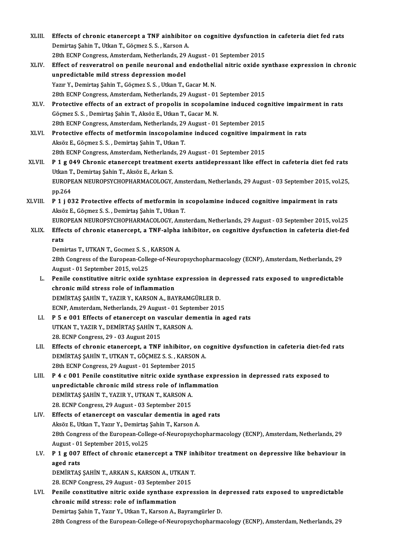- XLIII. Effects of chronic etanercept a TNF ainhibitor on cognitive dysfunction in cafeteria diet fed rats Demirtaş Şahin T., Utkan T., Göçmez S. S., Karson A.<br>28th ECNP Congress, Amsterdam, Netherlands, 29 August - 01 September 2015 Effects of chronic etanercept a TNF ainhibitor on cognitive dysfunction<br>Demirtaş Şahin T., Utkan T., Göçmez S. S. , Karson A.<br>28th ECNP Congress, Amsterdam, Netherlands, 29 August - 01 September 2015<br>Effect of negyenatuel Demirtaş Şahin T., Utkan T., Göçmez S. S. , Karson A.<br>28th ECNP Congress, Amsterdam, Netherlands, 29 August - 01 September 2015<br>XLIV. Effect of resveratrol on penile neuronal and endothelial nitric oxide synthase expressio
- 28th ECNP Congress, Amsterdam, Netherlands, 29<br>Effect of resveratrol on penile neuronal and<br>unpredictable mild stress depression model<br>Yazır V. Demirtas Sabin T. Gösmaz S. S. Utkan T. ( Effect of resveratrol on penile neuronal and endotheli<br>unpredictable mild stress depression model<br>Yazır Y., Demirtaş Şahin T., Göçmez S.S. , Utkan T., Gacar M. N.<br>29th FCNP Congress, Amsterdam Netherlands, 29 August, .01 unpredictable mild stress depression model<br>Yazır Y., Demirtaş Şahin T., Göçmez S. S. , Utkan T., Gacar M. N.<br>28th ECNP Congress, Amsterdam, Netherlands, 29 August - 01 September 2015<br>Protestive effects of an extrast of pro Yazır Y., Demirtaş Şahin T., Göçmez S. S. , Utkan T., Gacar M. N.<br>28th ECNP Congress, Amsterdam, Netherlands, 29 August - 01 September 2015<br>XLV. Protective effects of an extract of propolis in scopolamine induced cognitive
- 28th ECNP Congress, Amsterdam, Netherlands, 29 August 01<br>Protective effects of an extract of propolis in scopolam<br>Göçmez S. S. , Demirtaş Şahin T., Aksöz E., Utkan T., Gacar M. N.<br>29th ECNP Congress, Amsterdam, Netherlan Protective effects of an extract of propolis in scopolamine induced cog<br>Göçmez S. S. , Demirtas Şahin T., Aksöz E., Utkan T., Gacar M. N.<br>28th ECNP Congress, Amsterdam, Netherlands, 29 August - 01 September 2015<br>Protective Göçmez S. S. , Demirtaş Şahin T., Aksöz E., Utkan T., Gacar M. N.<br>28th ECNP Congress, Amsterdam, Netherlands, 29 August - 01 September 2015<br>XLVI. Protective effects of metformin inscopolamine induced cognitive impairment i
- 28th ECNP Congress, Amsterdam, Netherlands, 29<br>Protective effects of metformin inscopolami<br>Aksöz E., Göçmez S. S. , Demirtaş Şahin T., Utkan T.<br>29th ECNB Congress, Amsterdam, Natherlands, 29 Protective effects of metformin inscopolamine induced cognitive impair<br>Aksöz E., Göçmez S. S. , Demirtaş Şahin T., Utkan T.<br>28th ECNP Congress, Amsterdam, Netherlands, 29 August - 01 September 2015<br>B. 1. g. 049 Chronis ata Aksöz E., Göçmez S. S. , Demirtaş Şahin T., Utkan T.<br>28th ECNP Congress, Amsterdam, Netherlands, 29 August - 01 September 2015<br>XLVII. P 1 g 049 Chronic etanercept treatment exerts antidepressant like effect in cafeteria di
- 28th ECNP Congress, Amsterdam, Netherland<br>P 1 g 049 Chronic etanercept treatment<br>Utkan T., Demirtaş Şahin T., Aksöz E., Arkan S.<br>EUROPEAN NEUROPSYCHOPHAPMACOLOCY P 1 g 049 Chronic etanercept treatment exerts antidepressant like effect in cafeteria diet fed rats<br>Utkan T., Demirtaş Şahin T., Aksöz E., Arkan S.<br>EUROPEAN NEUROPSYCHOPHARMACOLOGY, Amsterdam, Netherlands, 29 August - 03 S Utkan T., Demirtaş Şahin T., Aksöz E., Arkan S.<br>EUROPEAN NEUROPSYCHOPHARMACOLOGY, Amsterdam, Netherlands, 29 August - 03 September 2015, vol.25,<br>pp.264 EUROPEAN NEUROPSYCHOPHARMACOLOGY, Amsterdam, Netherlands, 29 August - 03 September 2015, vol<br>pp.264<br>XLVIII. P 1 j 032 Protective effects of metformin in scopolamine induced cognitive impairment in rats
- pp.264<br>P 1 j 032 Protective effects of metformin in<br>Aksöz E., Göçmez S. S. , Demirtaş Şahin T., Utkan T.<br>FUROPEAN NEUPOPSYCHOPHAPMACOLOGY, Ame P 1 j 032 Protective effects of metformin in scopolamine induced cognitive impairment in rats<br>Aksöz E., Göçmez S. S. , Demirtaş Şahin T., Utkan T.<br>EUROPEAN NEUROPSYCHOPHARMACOLOGY, Amsterdam, Netherlands, 29 August - 03 Se

Aksöz E., Göçmez S. S. , Demirtaş Şahin T., Utkan T.<br>EUROPEAN NEUROPSYCHOPHARMACOLOGY, Amsterdam, Netherlands, 29 August - 03 September 2015, vol.25<br>XLIX. Effects of chronic etanercept, a TNF-alpha inhibitor, on cognitive EUR<br>Effe<br>rats<br><sup>Domi</sup> Effects of chronic etanercept, a TNF-alpha inhibitor, on cognitive dysfunction in cafeteria diet-fed<br>rats<br>Demirtas T., UTKAN T., Gocmez S.S. , KARSON A.

rats<br>Demirtas T., UTKAN T., Gocmez S. S. , KARSON A.<br>28th Congress of the European-College-of-Neuropsychopharmacology (ECNP), Amsterdam, Netherlands, 29<br>August, 01 Santamber 2015, vol.25 Demirtas T., UTKAN T., Gocmez S. S. ,<br>28th Congress of the European-Colle<br>August - 01 September 2015, vol.25<br>Ponile constitutive nitris exide S 28th Congress of the European-College-of-Neuropsychopharmacology (ECNP), Amsterdam, Netherlands, 29<br>August - 01 September 2015, vol.25<br>L. Penile constitutive nitric oxide synhtase expression in depressed rats exposed to un

- August 01 September 2015, vol.25<br>Penile constitutive nitric oxide synhtase<br>chronic mild stress role of inflammation<br>DEMIPTAS SAHINT VAZIR V LARSON A PAY Penile constitutive nitric oxide synhtase expression in d<br>chronic mild stress role of inflammation<br>DEMİRTAŞ ŞAHİN T., YAZIR Y., KARSON A., BAYRAMGÜRLER D.<br>ECNP Amsterdam Netherlanda 29 August - 91 September 291 chronic mild stress role of inflammation<br>DEMİRTAŞ ŞAHİN T., YAZIR Y., KARSON A., BAYRAMGÜRLER D.<br>ECNP, Amsterdam, Netherlands, 29 August - 01 September 2015<br>B. 5. 0.001 Effects of stanonsont on vessular damentia in a
- DEMIRTAŞ ŞAHIN T., YAZIR Y., KARSON A., BAYRAMGÜRLER D.<br>ECNP, Amsterdam, Netherlands, 29 August 01 September 2015<br>LI. P 5 e 001 Effects of etanercept on vascular dementia in aged rats<br>UTKAN T., YAZIR Y., DEMIRTAS SAHIN T ECNP, Amsterdam, Netherlands, 29 August - 01 Septe<br>P 5 e 001 Effects of etanercept on vascular de<br>UTKAN T., YAZIR Y., DEMİRTAŞ ŞAHİN T., KARSON A. 28. ECNP Congress, 29 - 03 August 2015
- UTKAN T., YAZIR Y., DEMIRTAŞ ŞAHIN T., KARSON A.<br>28. ECNP Congress, 29 03 August 2015<br>LII. Effects of chronic etanercept, a TNF inhibitor, on cognitive dysfunction in cafeteria diet-fed rats<br>DEMIRTAS SAHIN T. UTVAN T. CÖ 28. ECNP Congress, 29 - 03 August 2015<br>Effects of chronic etanercept, a TNF inhibitor, on contracts of chronic etanercept, a TNF inhibitor, on contra<br>DEMIRTAŞ ŞAHİN T., UTKAN T., GÖÇMEZ S. S. , KARSON A. Effects of chronic etanercept, a TNF inhibitor, o<br>DEMIRTAŞ ŞAHİN T., UTKAN T., GÖÇMEZ S. S., KARSON<br>28th ECNP Congress, 29 August - 01 September 2015 DEMIRTAŞ ŞAHİN T., UTKAN T., GÖÇMEZ S. S., KARSON A.<br>28th ECNP Congress, 29 August - 01 September 2015<br>LIII. P 4 c 001 Penile constitutive nitric oxide synthase expression in depressed rats exposed to<br>unaposistable chronic
- 28th ECNP Congress, 29 August 01 September 2015<br>P 4 c 001 Penile constitutive nitric oxide synthase express<br>unpredictable chronic mild stress role of inflammation<br>DEMIPTAS SAHIN T VAZIB V JITKAN T KARSON A P 4 c 001 Penile constitutive nitric oxide synth<br>unpredictable chronic mild stress role of inflament<br>DEMIRTAŞ ŞAHİN T., YAZIR Y., UTKAN T., KARSON A.<br>29 ECNB Congress 29 August - 03 Sentember 2015 unpredictable chronic mild stress role of inflam<br>DEMİRTAŞ ŞAHİN T., YAZIR Y., UTKAN T., KARSON A.<br>28. ECNP Congress, 29 August - 03 September 2015<br>Effects of stanspeart on yascular demantia in 1
- 28. ECNP Congress, 29 August 03 September 2015<br>LIV. Effects of etanercept on vascular dementia in aged rats AksözE.,UtkanT.,Yazır Y.,Demirtaş ŞahinT.,KarsonA. Effects of etanercept on vascular dementia in aged rats<br>Aksöz E., Utkan T., Yazır Y., Demirtaş Şahin T., Karson A.<br>28th Congress of the European-College-of-Neuropsychopharmacology (ECNP), Amsterdam, Netherlands, 29<br>August Aksöz E., Utkan T., Yazır Y., Demirtaş<br>28th Congress of the European-Colle<br>August - 01 September 2015, vol.25<br>B 1 s 007 Effect of shnonis etaps 28th Congress of the European-College-of-Neuropsychopharmacology (ECNP), Amsterdam, Netherlands, 29<br>August - 01 September 2015, vol.25<br>LV. P 1 g 007 Effect of chronic etanercept a TNF inhibitor treatment on depressive like
- August 01 September 2015, vol.25<br>P 1 g 007 Effect of chronic etand<br>aged rats LV. P 1 g 007 Effect of chronic etanercept a TNF inhibitor treatment on depressive like behaviour in<br>aged rats<br>DEMİRTAŞ ŞAHİN T., ARKAN S., KARSON A., UTKAN T.<br>28. ECNP Congress, 29 August - 03 September 2015 DEMIRTAS SAHIN T., ARKAN S., KARSON A., UTKAN T.

DEMIRTAŞ ŞAHİN T., ARKAN S., KARSON A., UTKAN T.<br>28. ECNP Congress, 29 August - 03 September 2015<br>LVI. Penile constitutive nitric oxide synthase expression in depressed rats exposed to unpredictable<br>chaonis mild stressy ro 28. ECNP Congress, 29 August - 03 September 2<br>Penile constitutive nitric oxide synthase e<br>chronic mild stress: role of inflammation<br>Domintes Sebin T. Youn V. Utlea T. Kanson A. Penile constitutive nitric oxide synthase expression in d<br>chronic mild stress: role of inflammation<br>Demirtaş Şahin T., Yazır Y., Utkan T., Karson A., Bayramgürler D.<br>28th Congress of the Europeen College of Neuropsychenham chronic mild stress: role of inflammation<br>Demirtaş Şahin T., Yazır Y., Utkan T., Karson A., Bayramgürler D.<br>28th Congress of the European-College-of-Neuropsychopharmacology (ECNP), Amsterdam, Netherlands, 29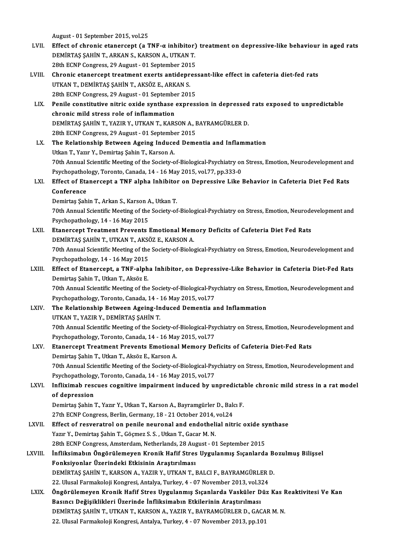August -01 September 2015,vol.25

- August 01 September 2015, vol.25<br>LVII. Effect of chronic etanercept (a TNF-α inhibitor) treatment on depressive-like behaviour in aged rats<br>REMIRTAS SAHIN T. ARKAN S. KARSON A. UTKAN T. DEMİRTAŞ ŞAHİN T., ARKAN S., KARSON A., UTKAN T. Effect of chronic etanercept (a TNF- $\alpha$  inhibitor)<br>DEMIRTAŞ ŞAHİN T., ARKAN S., KARSON A., UTKAN T.<br>28th ECNP Congress, 29 August - 01 September 2015<br>Chronic atanaraant trastmant avata antidannas DEMIRTAŞ ŞAHİN T., ARKAN S., KARSON A., UTKAN T.<br>28th ECNP Congress, 29 August - 01 September 2015<br>LVIII. Chronic etanercept treatment exerts antidepressant-like effect in cafeteria diet-fed rats<br>UTKAN T. DEMIRTAS SAHİN T.
- 28th ECNP Congress, 29 August 01 September 2015<br>Chronic etanercept treatment exerts antidepres<br>UTKAN T., DEMİRTAŞ ŞAHİN T., AKSÖZ E., ARKAN S. Chronic etanercept treatment exerts antidepres<br>UTKAN T., DEMİRTAŞ ŞAHİN T., AKSÖZ E., ARKAN S.<br>28th ECNP Congress, 29 August - 01 September 2015<br>Penila sanstitutive nitris exide sunthase express 28th ECNP Congress, 29 August - 01 September 2015
- LIX. Penile constitutive nitric oxide synthase expression in depressed rats exposed to unpredictable Penile constitutive nitric oxide synthase expression in depressed<br>chronic mild stress role of inflammation<br>DEMİRTAŞ ŞAHİN T., YAZIR Y., UTKAN T., KARSON A., BAYRAMGÜRLER D.<br>29th ECNP Congress 29 August, 91 September 2015 chronic mild stress role of inflammation<br>DEMİRTAŞ ŞAHİN T., YAZIR Y., UTKAN T., KARSON A., I<br>28th ECNP Congress, 29 August - 01 September 2015<br>The Belstienshin Between Aseins Indused Deme 28th ECNP Congress, 29 August - 01 September 2015<br>LX. The Relationship Between Ageing Induced Dementia and Inflammation
- Utkan T., Yazır Y., Demirtaş Şahin T., Karson A. The Relationship Between Ageing Induced Dementia and Inflammation<br>Utkan T., Yazır Y., Demirtaş Şahin T., Karson A.<br>70th Annual Scientific Meeting of the Society-of-Biological-Psychiatry on Stress, Emotion, Neurodevelopment Utkan T., Yazır Y., Demirtaş Şahin T., Karson A.<br>70th Annual Scientific Meeting of the Society-of-Biological-Psychiatry or<br>Psychopathology, Toronto, Canada, 14 - 16 May 2015, vol.77, pp.333-0<br>Fffect of Etanonsent o TNE alp 70th Annual Scientific Meeting of the Society-of-Biological-Psychiatry on Stress, Emotion, Neurodevelopment an<br>Psychopathology, Toronto, Canada, 14 - 16 May 2015, vol.77, pp.333-0<br>LXI. Effect of Etanercept a TNF alpha Inhi

### Psychopathology, Toronto, Canada, 14 - 16 May 2015, vol.77, pp.333-0<br>Effect of Etanercept a TNF alpha Inhibitor on Depressive Like<br>Conference<br>Demirtas Sahin T., Arkan S., Karson A., Utkan T. Effect of Etanercept a TNF alpha Inhibitor on Depressive Like Behavior in Cafeteria Diet Fed Rats

Conference<br>Demirtaş Şahin T., Arkan S., Karson A., Utkan T.<br>70th Annual Scientific Meeting of the Society-of-Biological-Psychiatry on Stress, Emotion, Neurodevelopment and<br>Ravshopsthelogy, 14, 16 May 2015 Demirtaş Şahin T., Arkan S., Karson<br>70th Annual Scientific Meeting of the<br>Psychopathology, 14 - 16 May 2015<br>Ftanansent Treatment Preventa I 70th Annual Scientific Meeting of the Society-of-Biological-Psychiatry on Stress, Emotion, Neurode<br>Psychopathology, 14 - 16 May 2015<br>LXII. Etanercept Treatment Prevents Emotional Memory Deficits of Cafeteria Diet Fed Rats<br>

- Psychopathology, 14 16 May 2015<br>Etanercept Treatment Prevents Emotional Memory Deficits of Cafeteria Diet Fed Rats<br>DEMİRTAŞ ŞAHİN T., UTKAN T., AKSÖZ E., KARSON A. Etanercept Treatment Prevents Emotional Memory Deficits of Cafeteria Diet Fed Rats<br>DEMİRTAŞ ŞAHİN T., UTKAN T., AKSÖZ E., KARSON A.<br>70th Annual Scientific Meeting of the Society-of-Biological-Psychiatry on Stress, Emotion, DEMIRTAŞ ŞAHİN T., UTKAN T., AKSO<br>70th Annual Scientific Meeting of the<br>Psychopathology, 14 - 16 May 2015<br>Fffest of Etanorsont, a TNE alph 70th Annual Scientific Meeting of the Society-of-Biological-Psychiatry on Stress, Emotion, Neurodevelopment and<br>Psychopathology, 14 - 16 May 2015<br>LXIII. Effect of Etanercept, a TNF-alpha Inhibitor, on Depressive-Like Behav
- Psychopathology, 14 16 May 2015<br>Effect of Etanercept, a TNF-alph<br>Demirtaş Şahin T., Utkan T., Aksöz E. Effect of Etanercept, a TNF-alpha Inhibitor, on Depressive-Like Behavior in Cafeteria Diet-Fed Rats<br>Demirtaş Şahin T., Utkan T., Aksöz E.<br>70th Annual Scientific Meeting of the Society-of-Biological-Psychiatry on Stress, Em 70th Annual Scientific Meeting of the Society-of-Biological-Psychiatry on Stress, Emotion, Neurodevelopment and

70th Annual Scientific Meeting of the Society-of-Biological-Psychiatry on Stress, E<br>Psychopathology, Toronto, Canada, 14 - 16 May 2015, vol.77<br>LXIV. The Relationship Between Ageing-Induced Dementia and Inflammation<br>UTKAN T Psychopathology, Toronto, Canada, 14 -<br>The Relationship Between Ageing-In<br>UTKAN T., YAZIR Y., DEMİRTAŞ ŞAHİN T.<br>70th Annual Scientific Meeting of the Sea UTKAN T., YAZIR Y., DEMİRTAŞ ŞAHİN T.<br>70th Annual Scientific Meeting of the Society-of-Biological-Psychiatry on Stress, Emotion, Neurodevelopment and UTKAN T., YAZIR Y., DEMİRTAŞ ŞAHİN T.<br>70th Annual Scientific Meeting of the Society-of-Biological-Psy<br>Psychopathology, Toronto, Canada, 14 - 16 May 2015, vol.77<br>Ftanersont Treatment Prevents Emetional Memeru De

### LXV. Etanercept Treatment Prevents Emotional Memory Deficits of Cafeteria Diet-Fed Rats<br>Demirtas Şahin T., Utkan T., Aksöz E., Karson A. Psychopathology, Toronto, Canada, 14 - 16 May<br>Etanercept Treatment Prevents Emotiona<br>Demirtaş Şahin T., Utkan T., Aksöz E., Karson A.<br>70th Annual Scientific Mesting of the Seciety of

Etanercept Treatment Prevents Emotional Memory Deficits of Cafeteria Diet-Fed Rats<br>Demirtaş Şahin T., Utkan T., Aksöz E., Karson A.<br>70th Annual Scientific Meeting of the Society-of-Biological-Psychiatry on Stress, Emotion, Demirtaş Şahin T., Utkan T., Aksöz E., Karson A.<br>70th Annual Scientific Meeting of the Society-of-Biological-Psy<br>Psychopathology, Toronto, Canada, 14 - 16 May 2015, vol.77<br>Infliximeb Essause segnitive impeinment indused by 70th Annual Scientific Meeting of the Society-of-Biological-Psychiatry on Stress, Emotion, Neurodevelopment and<br>Psychopathology, Toronto, Canada, 14 - 16 May 2015, vol.77<br>LXVI. Infliximab rescues cognitive impairment induc

# Psychopathology, Toronto, Canada, 14 - 16 May 2015, vol.77<br>Infliximab rescues cognitive impairment induced by u<br>of depression Infliximab rescues cognitive impairment induced by unpredicta<br>of depression<br>Demirtaş Şahin T., Yazır Y., Utkan T., Karson A., Bayramgürler D., Balcı F.<br>27th FCNP Congress Berlin Cermany 19, 21 Osteber 2014 vel 24

Demirtaş Şahin T., Yazır Y., Utkan T., Karson A., Bayramgürler D., Balcı F.<br>27th ECNP Congress, Berlin, Germany, 18 - 21 October 2014, vol.24

- Demirtaş Şahin T., Yazır Y., Utkan T., Karson A., Bayramgürler D., Balcı F.<br>27th ECNP Congress, Berlin, Germany, 18 21 October 2014, vol.24<br>LXVII. Effect of resveratrol on penile neuronal and endothelial nitric oxide syn 27th ECNP Congress, Berlin, Germany, 18 - 21 October 2014,<br>Effect of resveratrol on penile neuronal and endotheli<br>Yazır Y., Demirtaş Şahin T., Göçmez S.S. , Utkan T., Gacar M.N.<br>29th ECNP Congress, Amsterdam Nethorlands, 2 Effect of resveratrol on penile neuronal and endothelial nitric oxide sy<br>Yazır Y., Demirtaş Şahin T., Göçmez S. S. , Utkan T., Gacar M. N.<br>28th ECNP Congress, Amsterdam, Netherlands, 28 August - 01 September 2015<br>Infliksim
- Yazır Y., Demirtaş Şahin T., Göçmez S. S. , Utkan T., Gacar M. N.<br>28th ECNP Congress, Amsterdam, Netherlands, 28 August 01 September 2015<br>LXVIII. İnfliksimabın Öngörülemeyen Kronik Hafif Stres Uygulanmış Sıçanlarda Bozul 28th ECNP Congress, Amsterdam, Netherlands, 28 August - 01 September 2015<br>İnfliksimabın Öngörülemeyen Kronik Hafif Stres Uygulanmış Sıçanlard<br>Fonksiyonlar Üzerindeki Etkisinin Araştırılması İnfliksimabın Öngörülemeyen Kronik Hafif Stres Uygulanmış Sıçanlarda B<br>Fonksiyonlar Üzerindeki Etkisinin Araştırılması<br>DEMİRTAŞ ŞAHİN T., KARSON A., YAZIR Y., UTKAN T., BALCI F., BAYRAMGÜRLER D.<br>22 Hiyesi Farmakalaji Kansr DEMİRTAŞ ŞAHİN T., KARSON A., YAZIR Y., UTKAN T., BALCI F., BAYRAMGÜRLER D.<br>22. Ulusal Farmakoloji Kongresi, Antalya, Turkey, 4 - 07 November 2013, vol.324 DEMİRTAŞ ŞAHİN T., KARSON A., YAZIR Y., UTKAN T., BALCI F., BAYRAMGÜRLER D.<br>22. Ulusal Farmakoloji Kongresi, Antalya, Turkey, 4 - 07 November 2013, vol.324<br>LXIX. Öngörülemeyen Kronik Hafif Stres Uygulanmış Sıçanlarda V
- 22. Ulusal Farmakoloji Kongresi, Antalya, Turkey, 4 07 November 2013, vol.3.<br>Öngörülemeyen Kronik Hafif Stres Uygulanmış Sıçanlarda Vasküler D<br>Basıncı Değişiklikleri Üzerinde İnfliksimabın Etkilerinin Araştırılması<br>DEMİP Öngörülemeyen Kronik Hafif Stres Uygulanmış Sıçanlarda Vasküler Düz Kas I<br>Basıncı Değişiklikleri Üzerinde İnfliksimabın Etkilerinin Araştırılması<br>DEMİRTAŞ ŞAHİN T., UTKAN T., KARSON A., YAZIR Y., BAYRAMGÜRLER D., GACAR M. Basıncı Değişiklikleri Üzerinde İnfliksimabın Etkilerinin Araştırılması<br>DEMİRTAŞ ŞAHİN T., UTKAN T., KARSON A., YAZIR Y., BAYRAMGÜRLER D., GACAR M. N.<br>22. Ulusal Farmakoloji Kongresi, Antalya, Turkey, 4 - 07 November 2013,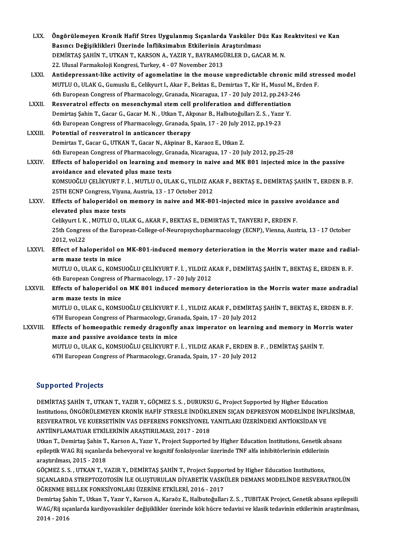| LXX.           | Öngörülemeyen Kronik Hafif Stres Uygulanmış Sıçanlarda Vasküler Düz Kas Reaktvitesi ve Kan                                                |
|----------------|-------------------------------------------------------------------------------------------------------------------------------------------|
|                | Basıncı Değişiklikleri Üzerinde İnfliksimabın Etkilerinin Araştırılması                                                                   |
|                | DEMIRTAŞ ŞAHİN T., UTKAN T., KARSON A., YAZIR Y., BAYRAMGÜRLER D., GACAR M. N.                                                            |
|                | 22. Ulusal Farmakoloji Kongresi, Turkey, 4 - 07 November 2013                                                                             |
| LXXI.          | Antidepressant-like activity of agomelatine in the mouse unpredictable chronic mild stressed model                                        |
|                | MUTLU O., ULAK G., Gumuslu E., Celikyurt I., Akar F., Bektas E., Demirtas T., Kir H., Musul M., Erden F.                                  |
|                | 6th European Congress of Pharmacology, Granada, Nicaragua, 17 - 20 July 2012, pp.243-246                                                  |
| LXXII.         | Resveratrol effects on mesenchymal stem cell proliferation and differentiation                                                            |
|                | Demirtaş Şahin T., Gacar G., Gacar M. N., Utkan T., Akpınar B., Halbutoğulları Z. S., Yazır Y.                                            |
|                | 6th European Congress of Pharmacology, Granada, Spain, 17 - 20 July 2012, pp.19-23                                                        |
| <b>LXXIII</b>  | Potential of resveratrol in anticancer therapy                                                                                            |
|                | Demirtas T., Gacar G., UTKAN T., Gacar N., Akpinar B., Karaoz E., Utkan Z.                                                                |
|                | 6th European Congress of Pharmacology, Granada, Nicaragua, 17 - 20 July 2012, pp.25-28                                                    |
| <b>LXXIV</b>   | Effects of haloperidol on learning and memory in naive and MK 801 injected mice in the passive                                            |
|                | avoidance and elevated plus maze tests                                                                                                    |
|                | KOMSUOĞLU ÇELİKYURT F. İ., MUTLU O., ULAK G., YILDIZ AKAR F., BEKTAŞ E., DEMİRTAŞ ŞAHİN T., ERDEN B. F.                                   |
|                | 25TH ECNP Congress, Viyana, Austria, 13 - 17 October 2012                                                                                 |
| <b>LXXV</b>    | Effects of haloperidol on memory in naive and MK-801-injected mice in passive avoidance and                                               |
|                | elevated plus maze tests                                                                                                                  |
|                | Celikyurt I. K., MUTLU O., ULAK G., AKAR F., BEKTAS E., DEMIRTAS T., TANYERI P., ERDEN F.                                                 |
|                | 25th Congress of the European-College-of-Neuropsychopharmacology (ECNP), Vienna, Austria, 13 - 17 October                                 |
|                | 2012, vol.22                                                                                                                              |
| <b>LXXVI</b> . | Effect of haloperidol on MK-801-induced memory deterioration in the Morris water maze and radial-                                         |
|                | arm maze tests in mice                                                                                                                    |
|                | MUTLU O., ULAK G., KOMSUOĞLU ÇELİKYURT F. İ. , YILDIZ AKAR F., DEMİRTAŞ ŞAHİN T., BEKTAŞ E., ERDEN B. F.                                  |
|                | 6th European Congress of Pharmacology, 17 - 20 July 2012                                                                                  |
| <b>LXXVII.</b> | Effects of haloperidol on MK 801 induced memory deterioration in the Morris water maze andradial                                          |
|                | arm maze tests in mice                                                                                                                    |
|                | MUTLU O., ULAK G., KOMSUOĞLU ÇELİKYURT F. İ., YILDIZ AKAR F., DEMİRTAŞ ŞAHİN T., BEKTAŞ E., ERDEN B. F.                                   |
|                | 6TH European Congress of Pharmacology, Granada, Spain, 17 - 20 July 2012                                                                  |
| LXXVIII.       | Effects of homeopathic remedy dragonfly anax imperator on learning and memory in Morris water<br>maze and passive avoidance tests in mice |
|                | MUTLU O., ULAK G., KOMSUOĞLU ÇELİKYURT F. İ., YILDIZ AKAR F., ERDEN B. F., DEMİRTAŞ ŞAHİN T.                                              |
|                | 6TH European Congress of Pharmacology, Granada, Spain, 17 - 20 July 2012                                                                  |
|                |                                                                                                                                           |
|                |                                                                                                                                           |

### Supported Projects

Supported Projects<br>DEMİRTAŞ ŞAHİN T., UTKAN T., YAZIR Y., GÖÇMEZ S. S. , DURUKSU G., Project Supported by Higher Education<br>Institutions, ÖNCÖPÜLEMEVEN KRONİK HAFİE STRESLE İNDÜKLENEN SICAN DERRESYON MODELİNDE İNEL DAPPOTTON TTOJOCES<br>DEMİRTAŞ ŞAHİN T., UTKAN T., YAZIR Y., GÖÇMEZ S. S. , DURUKSU G., Project Supported by Higher Education<br>Institutions, ÖNGÖRÜLEMEYEN KRONİK HAFİF STRESLE İNDÜKLENEN SIÇAN DEPRESYON MODELİNDE İNFLİKSİMAB,<br> DEMİRTAŞ ŞAHİN T., UTKAN T., YAZIR Y., GÖÇMEZ S. S. , DURUKSU G., Project Supported by Higher Education<br>Institutions, ÖNGÖRÜLEMEYEN KRONİK HAFİF STRESLE İNDÜKLENEN SIÇAN DEPRESYON MODELİNDE İNFI<br>RESVERATROL VE KUERSETİNİN Institutions, ÖNGÖRÜLEMEYEN KRONİK HAFİF STRESLE İNDÜKLENEN SIÇAN DEPRESYON MODELİNDE İNFLİKSİMAB,<br>RESVERATROL VE KUERSETİNİN VAS DEFERENS FONKSİYONEL YANITLARI ÜZERİNDEKİ ANTİOKSİDAN VE<br>ANTİİNFLAMATUAR ETKİLERİNİN ARAŞTIR RESVERATROL VE KUERSETİNİN VAS DEFERENS FONKSİYONEL YANITLARI ÜZERİNDEKİ ANTİOKSİDAN VE<br>ANTİİNFLAMATUAR ETKİLERİNİN ARAŞTIRILMASI, 2017 - 2018<br>Utkan T., Demirtaş Şahin T., Karson A., Yazır Y., Project Supported by Higher E

ANTİİNFLAMATUAR ETKİLERİNİN ARAŞTIRILMASI, 2017 - 2018<br>Utkan T., Demirtaş Şahin T., Karson A., Yazır Y., Project Supported by Higher Education Institutions, Genetik abs<br>epileptik WAG Rij sıçanlarda behevyoral ve kognitif f araştırılması,2015 -2018 epileptik WAG Rij sıçanlarda behevyoral ve kognitif fonksiyonlar üzerinde TNF alfa inhibitörlerinin etkilerinin

SIÇANLARDA STREPTOZOTOSİN İLE OLUŞTURULAN DİYABETİK VASKÜLER DEMANS MODELİNDE RESVERATROLÜN<br>ÖĞRENME BELLEK FONKSİYONLARI ÜZERİNE ETKİLERİ, 2016 - 2017 GÖÇMEZ S. S., UTKAN T., YAZIR Y., DEMİRTAŞ ŞAHİN T., Project Supported by Higher Education Institutions,

Demirtaş Şahin T., Utkan T., Yazır Y., Karson A., Karaöz E., Halbutoğulları Z. S., TUBITAK Project, Genetik absans epilepsili ÖĞRENME BELLEK FONKSİYONLARI ÜZERİNE ETKİLERİ, 2016 - 2017<br>Demirtaş Şahin T., Utkan T., Yazır Y., Karson A., Karaöz E., Halbutoğulları Z. S. , TUBITAK Project, Genetik absans epilepsili<br>WAG/Rij sıçanlarda kardiyovasküler d Demirtaş Şa<br>WAG/Rij sıç<br>2014 - 2016